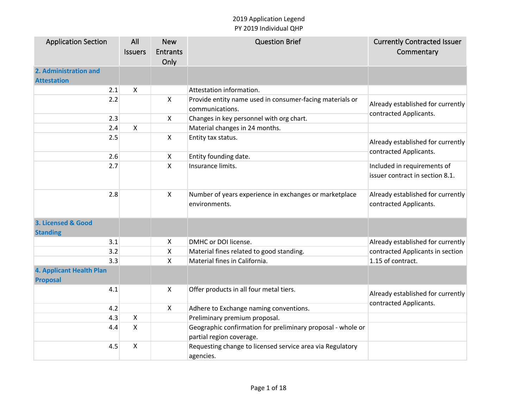| <b>Application Section</b>                  | All                       | <b>New</b>      | <b>Question Brief</b>                                                                   | <b>Currently Contracted Issuer</b>                             |
|---------------------------------------------|---------------------------|-----------------|-----------------------------------------------------------------------------------------|----------------------------------------------------------------|
|                                             | <b>Issuers</b>            | <b>Entrants</b> |                                                                                         | Commentary                                                     |
|                                             |                           | Only            |                                                                                         |                                                                |
| 2. Administration and                       |                           |                 |                                                                                         |                                                                |
| <b>Attestation</b>                          |                           |                 |                                                                                         |                                                                |
| 2.1                                         | $\boldsymbol{\mathsf{X}}$ |                 | Attestation information.                                                                |                                                                |
| 2.2                                         |                           | $\pmb{\times}$  | Provide entity name used in consumer-facing materials or<br>communications.             | Already established for currently<br>contracted Applicants.    |
| 2.3                                         |                           | X               | Changes in key personnel with org chart.                                                |                                                                |
| 2.4                                         | $\mathsf{X}$              |                 | Material changes in 24 months.                                                          |                                                                |
| 2.5                                         |                           | X               | Entity tax status.                                                                      | Already established for currently                              |
| 2.6                                         |                           | X               | Entity founding date.                                                                   | contracted Applicants.                                         |
| 2.7                                         |                           | X               | Insurance limits.                                                                       | Included in requirements of<br>issuer contract in section 8.1. |
| 2.8                                         |                           | X               | Number of years experience in exchanges or marketplace<br>environments.                 | Already established for currently<br>contracted Applicants.    |
| 3. Licensed & Good                          |                           |                 |                                                                                         |                                                                |
| <b>Standing</b>                             |                           |                 |                                                                                         |                                                                |
| 3.1                                         |                           | x               | DMHC or DOI license.                                                                    | Already established for currently                              |
| 3.2                                         |                           | Χ               | Material fines related to good standing.                                                | contracted Applicants in section                               |
| 3.3                                         |                           | Χ               | Material fines in California.                                                           | 1.15 of contract.                                              |
| <b>4. Applicant Health Plan</b><br>Proposal |                           |                 |                                                                                         |                                                                |
| 4.1                                         |                           | Χ               | Offer products in all four metal tiers.                                                 | Already established for currently                              |
| 4.2                                         |                           | X               | Adhere to Exchange naming conventions.                                                  | contracted Applicants.                                         |
| 4.3                                         | $\mathsf{X}$              |                 | Preliminary premium proposal.                                                           |                                                                |
| 4.4                                         | $\mathsf{X}$              |                 | Geographic confirmation for preliminary proposal - whole or<br>partial region coverage. |                                                                |
| 4.5                                         | $\boldsymbol{\mathsf{X}}$ |                 | Requesting change to licensed service area via Regulatory<br>agencies.                  |                                                                |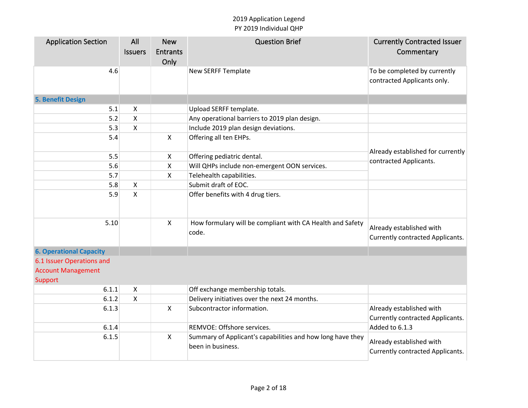| <b>Application Section</b>     | All<br><b>Issuers</b> | <b>New</b><br><b>Entrants</b> | <b>Question Brief</b>                                                           | <b>Currently Contracted Issuer</b><br>Commentary                    |
|--------------------------------|-----------------------|-------------------------------|---------------------------------------------------------------------------------|---------------------------------------------------------------------|
|                                |                       | Only                          |                                                                                 |                                                                     |
| 4.6                            |                       |                               | New SERFF Template                                                              | To be completed by currently<br>contracted Applicants only.         |
| <b>5. Benefit Design</b>       |                       |                               |                                                                                 |                                                                     |
| 5.1                            | $\pmb{\mathsf{X}}$    |                               | Upload SERFF template.                                                          |                                                                     |
| 5.2                            | X                     |                               | Any operational barriers to 2019 plan design.                                   |                                                                     |
| 5.3                            | X                     |                               | Include 2019 plan design deviations.                                            |                                                                     |
| 5.4                            |                       | $\mathsf{X}$                  | Offering all ten EHPs.                                                          |                                                                     |
|                                |                       |                               |                                                                                 | Already established for currently                                   |
| 5.5                            |                       | $\mathsf{X}$                  | Offering pediatric dental.                                                      | contracted Applicants.                                              |
| 5.6                            |                       | $\boldsymbol{\mathsf{X}}$     | Will QHPs include non-emergent OON services.                                    |                                                                     |
| 5.7                            |                       | $\boldsymbol{\mathsf{X}}$     | Telehealth capabilities.                                                        |                                                                     |
| 5.8                            | X                     |                               | Submit draft of EOC.                                                            |                                                                     |
| 5.9                            | $\mathsf{X}$          |                               | Offer benefits with 4 drug tiers.                                               |                                                                     |
| 5.10                           |                       | $\boldsymbol{\mathsf{X}}$     | How formulary will be compliant with CA Health and Safety<br>code.              | Already established with<br>Currently contracted Applicants.        |
| <b>6. Operational Capacity</b> |                       |                               |                                                                                 |                                                                     |
| 6.1 Issuer Operations and      |                       |                               |                                                                                 |                                                                     |
| <b>Account Management</b>      |                       |                               |                                                                                 |                                                                     |
| Support                        |                       |                               |                                                                                 |                                                                     |
| 6.1.1                          | X                     |                               | Off exchange membership totals.                                                 |                                                                     |
| 6.1.2                          | X                     |                               | Delivery initiatives over the next 24 months.                                   |                                                                     |
| 6.1.3                          |                       | $\mathsf{X}$                  | Subcontractor information.                                                      | Already established with<br>Currently contracted Applicants.        |
| 6.1.4                          |                       |                               | REMVOE: Offshore services.                                                      | Added to 6.1.3                                                      |
| 6.1.5                          |                       | $\mathsf{X}$                  | Summary of Applicant's capabilities and how long have they<br>been in business. | Already established with<br><b>Currently contracted Applicants.</b> |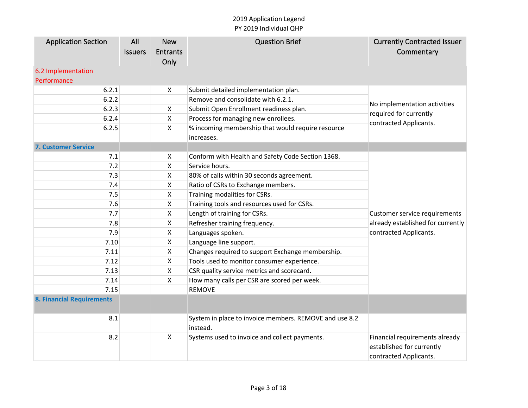| <b>Application Section</b>       | All            | <b>New</b>                | <b>Question Brief</b>                                              | <b>Currently Contracted Issuer</b> |
|----------------------------------|----------------|---------------------------|--------------------------------------------------------------------|------------------------------------|
|                                  | <b>Issuers</b> | <b>Entrants</b>           |                                                                    | Commentary                         |
|                                  |                | Only                      |                                                                    |                                    |
| 6.2 Implementation               |                |                           |                                                                    |                                    |
| Performance                      |                |                           |                                                                    |                                    |
| 6.2.1                            |                | X                         | Submit detailed implementation plan.                               |                                    |
| 6.2.2                            |                |                           | Remove and consolidate with 6.2.1.                                 |                                    |
| 6.2.3                            |                | X                         | Submit Open Enrollment readiness plan.                             | No implementation activities       |
| 6.2.4                            |                | X                         | Process for managing new enrollees.                                | required for currently             |
| 6.2.5                            |                | X                         | % incoming membership that would require resource                  | contracted Applicants.             |
|                                  |                |                           | increases.                                                         |                                    |
| <b>7. Customer Service</b>       |                |                           |                                                                    |                                    |
| 7.1                              |                | X                         | Conform with Health and Safety Code Section 1368.                  |                                    |
| 7.2                              |                | X                         | Service hours.                                                     |                                    |
| 7.3                              |                | X                         | 80% of calls within 30 seconds agreement.                          |                                    |
| 7.4                              |                | X                         | Ratio of CSRs to Exchange members.                                 |                                    |
| 7.5                              |                | X                         | Training modalities for CSRs.                                      |                                    |
| 7.6                              |                | X                         | Training tools and resources used for CSRs.                        |                                    |
| 7.7                              |                | X                         | Length of training for CSRs.                                       | Customer service requirements      |
| 7.8                              |                | X                         | Refresher training frequency.                                      | already established for currently  |
| 7.9                              |                | X                         | Languages spoken.                                                  | contracted Applicants.             |
| 7.10                             |                | X                         | Language line support.                                             |                                    |
| 7.11                             |                | X                         | Changes required to support Exchange membership.                   |                                    |
| 7.12                             |                | X                         | Tools used to monitor consumer experience.                         |                                    |
| 7.13                             |                | X                         | CSR quality service metrics and scorecard.                         |                                    |
| 7.14                             |                | X                         | How many calls per CSR are scored per week.                        |                                    |
| 7.15                             |                |                           | <b>REMOVE</b>                                                      |                                    |
| <b>8. Financial Requirements</b> |                |                           |                                                                    |                                    |
| 8.1                              |                |                           | System in place to invoice members. REMOVE and use 8.2<br>instead. |                                    |
| 8.2                              |                | $\boldsymbol{\mathsf{X}}$ | Systems used to invoice and collect payments.                      | Financial requirements already     |
|                                  |                |                           |                                                                    | established for currently          |
|                                  |                |                           |                                                                    | contracted Applicants.             |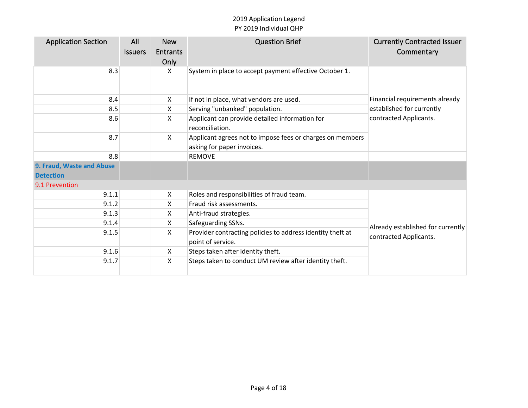| <b>Application Section</b>                    | All<br><b>Issuers</b> | <b>New</b><br><b>Entrants</b><br>Only | <b>Question Brief</b>                                                                   | <b>Currently Contracted Issuer</b><br>Commentary |
|-----------------------------------------------|-----------------------|---------------------------------------|-----------------------------------------------------------------------------------------|--------------------------------------------------|
| 8.3                                           |                       | X                                     | System in place to accept payment effective October 1.                                  |                                                  |
| 8.4                                           |                       | X                                     | If not in place, what vendors are used.                                                 | Financial requirements already                   |
| 8.5                                           |                       | X                                     | Serving "unbanked" population.                                                          | established for currently                        |
| 8.6                                           |                       | X                                     | Applicant can provide detailed information for<br>reconciliation.                       | contracted Applicants.                           |
| 8.7                                           |                       | X                                     | Applicant agrees not to impose fees or charges on members<br>asking for paper invoices. |                                                  |
| 8.8                                           |                       |                                       | <b>REMOVE</b>                                                                           |                                                  |
| 9. Fraud, Waste and Abuse<br><b>Detection</b> |                       |                                       |                                                                                         |                                                  |
| 9.1 Prevention                                |                       |                                       |                                                                                         |                                                  |
| 9.1.1                                         |                       | X                                     | Roles and responsibilities of fraud team.                                               |                                                  |
| 9.1.2                                         |                       | X                                     | Fraud risk assessments.                                                                 |                                                  |
| 9.1.3                                         |                       | X.                                    | Anti-fraud strategies.                                                                  |                                                  |
| 9.1.4                                         |                       | X                                     | Safeguarding SSNs.                                                                      | Already established for currently                |
| 9.1.5                                         |                       | X                                     | Provider contracting policies to address identity theft at<br>point of service.         | contracted Applicants.                           |
| 9.1.6                                         |                       | X                                     | Steps taken after identity theft.                                                       |                                                  |
| 9.1.7                                         |                       | X                                     | Steps taken to conduct UM review after identity theft.                                  |                                                  |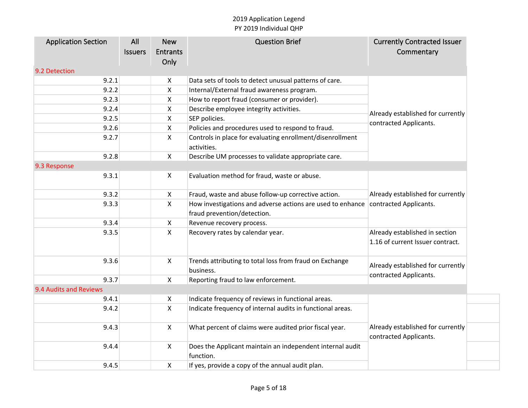| <b>Application Section</b> | All            | <b>New</b>         | <b>Question Brief</b>                                                    | <b>Currently Contracted Issuer</b>                          |  |
|----------------------------|----------------|--------------------|--------------------------------------------------------------------------|-------------------------------------------------------------|--|
|                            | <b>Issuers</b> | <b>Entrants</b>    |                                                                          | Commentary                                                  |  |
|                            |                | Only               |                                                                          |                                                             |  |
| 9.2 Detection              |                |                    |                                                                          |                                                             |  |
| 9.2.1                      |                | X                  | Data sets of tools to detect unusual patterns of care.                   |                                                             |  |
| 9.2.2                      |                | $\mathsf{X}$       | Internal/External fraud awareness program.                               |                                                             |  |
| 9.2.3                      |                | X                  | How to report fraud (consumer or provider).                              |                                                             |  |
| 9.2.4                      |                | $\pmb{\mathsf{X}}$ | Describe employee integrity activities.                                  | Already established for currently                           |  |
| 9.2.5                      |                | X                  | SEP policies.                                                            | contracted Applicants.                                      |  |
| 9.2.6                      |                | $\pmb{\mathsf{X}}$ | Policies and procedures used to respond to fraud.                        |                                                             |  |
| 9.2.7                      |                | $\mathsf{X}$       | Controls in place for evaluating enrollment/disenrollment<br>activities. |                                                             |  |
| 9.2.8                      |                | $\mathsf{X}$       | Describe UM processes to validate appropriate care.                      |                                                             |  |
| 9.3 Response               |                |                    |                                                                          |                                                             |  |
| 9.3.1                      |                | X                  | Evaluation method for fraud, waste or abuse.                             |                                                             |  |
| 9.3.2                      |                | $\pmb{\mathsf{X}}$ | Fraud, waste and abuse follow-up corrective action.                      | Already established for currently<br>contracted Applicants. |  |
| 9.3.3                      |                | X                  | How investigations and adverse actions are used to enhance               |                                                             |  |
|                            |                |                    | fraud prevention/detection.                                              |                                                             |  |
| 9.3.4                      |                | X                  | Revenue recovery process.                                                |                                                             |  |
| 9.3.5                      |                | $\mathsf{X}$       | Recovery rates by calendar year.                                         | Already established in section                              |  |
|                            |                |                    |                                                                          | 1.16 of current Issuer contract.                            |  |
| 9.3.6                      |                | X                  | Trends attributing to total loss from fraud on Exchange                  | Already established for currently                           |  |
|                            |                |                    | business.                                                                | contracted Applicants.                                      |  |
| 9.3.7                      |                | X                  | Reporting fraud to law enforcement.                                      |                                                             |  |
| 9.4 Audits and Reviews     |                |                    |                                                                          |                                                             |  |
| 9.4.1                      |                | X                  | Indicate frequency of reviews in functional areas.                       |                                                             |  |
| 9.4.2                      |                | $\mathsf{X}$       | Indicate frequency of internal audits in functional areas.               | Already established for currently<br>contracted Applicants. |  |
| 9.4.3                      |                | $\mathsf{X}$       | What percent of claims were audited prior fiscal year.                   |                                                             |  |
| 9.4.4                      |                | X                  | Does the Applicant maintain an independent internal audit<br>function.   |                                                             |  |
| 9.4.5                      |                | X                  | If yes, provide a copy of the annual audit plan.                         |                                                             |  |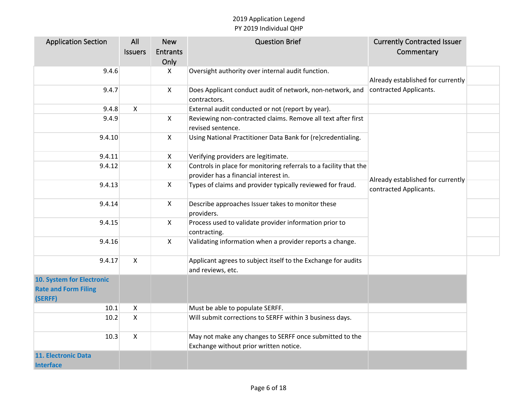| <b>Application Section</b>  | All            | <b>New</b>      | <b>Question Brief</b>                                             | <b>Currently Contracted Issuer</b>                          |  |
|-----------------------------|----------------|-----------------|-------------------------------------------------------------------|-------------------------------------------------------------|--|
|                             | <b>Issuers</b> | <b>Entrants</b> |                                                                   | Commentary                                                  |  |
|                             |                | Only            |                                                                   |                                                             |  |
| 9.4.6                       |                | X               | Oversight authority over internal audit function.                 |                                                             |  |
|                             |                |                 |                                                                   | Already established for currently                           |  |
| 9.4.7                       |                | X               | Does Applicant conduct audit of network, non-network, and         | contracted Applicants.                                      |  |
|                             |                |                 | contractors.                                                      |                                                             |  |
| 9.4.8                       | X              |                 | External audit conducted or not (report by year).                 |                                                             |  |
| 9.4.9                       |                | $\mathsf{X}$    | Reviewing non-contracted claims. Remove all text after first      |                                                             |  |
|                             |                |                 | revised sentence.                                                 |                                                             |  |
| 9.4.10                      |                | $\mathsf{X}$    | Using National Practitioner Data Bank for (re)credentialing.      |                                                             |  |
|                             |                |                 |                                                                   |                                                             |  |
| 9.4.11                      |                | X               | Verifying providers are legitimate.                               |                                                             |  |
| 9.4.12                      |                | X               | Controls in place for monitoring referrals to a facility that the |                                                             |  |
|                             |                |                 | provider has a financial interest in.                             |                                                             |  |
| 9.4.13                      |                | X               | Types of claims and provider typically reviewed for fraud.        | Already established for currently<br>contracted Applicants. |  |
|                             |                |                 |                                                                   |                                                             |  |
| 9.4.14                      |                | $\mathsf{X}$    | Describe approaches Issuer takes to monitor these                 |                                                             |  |
|                             |                |                 | providers.                                                        |                                                             |  |
| 9.4.15                      |                | $\mathsf{X}$    | Process used to validate provider information prior to            |                                                             |  |
|                             |                |                 | contracting.                                                      |                                                             |  |
| 9.4.16                      |                | $\mathsf{X}$    | Validating information when a provider reports a change.          |                                                             |  |
|                             |                |                 |                                                                   |                                                             |  |
| 9.4.17                      | $\mathsf{X}$   |                 | Applicant agrees to subject itself to the Exchange for audits     |                                                             |  |
|                             |                |                 | and reviews, etc.                                                 |                                                             |  |
| 10. System for Electronic   |                |                 |                                                                   |                                                             |  |
| <b>Rate and Form Filing</b> |                |                 |                                                                   |                                                             |  |
| (SERFF)                     |                |                 |                                                                   |                                                             |  |
| 10.1                        | X              |                 | Must be able to populate SERFF.                                   |                                                             |  |
| 10.2                        | $\mathsf{X}$   |                 | Will submit corrections to SERFF within 3 business days.          |                                                             |  |
|                             |                |                 |                                                                   |                                                             |  |
| 10.3                        | $\mathsf{X}$   |                 | May not make any changes to SERFF once submitted to the           |                                                             |  |
|                             |                |                 | Exchange without prior written notice.                            |                                                             |  |
| 11. Electronic Data         |                |                 |                                                                   |                                                             |  |
| <b>Interface</b>            |                |                 |                                                                   |                                                             |  |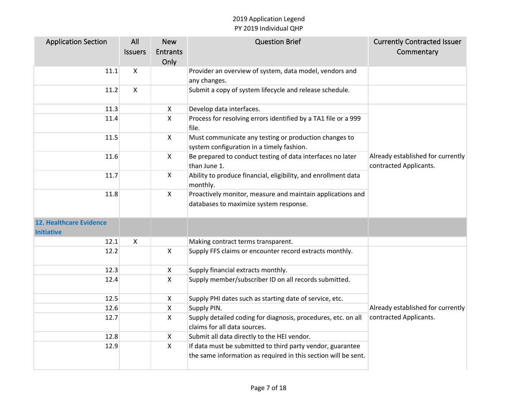| <b>Application Section</b>                          | All                       | <b>New</b>      | <b>Question Brief</b>                                                                                                        | <b>Currently Contracted Issuer</b>                          |
|-----------------------------------------------------|---------------------------|-----------------|------------------------------------------------------------------------------------------------------------------------------|-------------------------------------------------------------|
|                                                     | <b>Issuers</b>            | <b>Entrants</b> |                                                                                                                              | Commentary                                                  |
|                                                     |                           | Only            |                                                                                                                              |                                                             |
| 11.1                                                | $\boldsymbol{\mathsf{X}}$ |                 | Provider an overview of system, data model, vendors and                                                                      |                                                             |
|                                                     |                           |                 | any changes.                                                                                                                 |                                                             |
| 11.2                                                | $\mathsf{X}$              |                 | Submit a copy of system lifecycle and release schedule.                                                                      |                                                             |
| 11.3                                                |                           | $\mathsf{X}$    | Develop data interfaces.                                                                                                     |                                                             |
| 11.4                                                |                           | X               | Process for resolving errors identified by a TA1 file or a 999<br>file.                                                      |                                                             |
| 11.5                                                |                           | $\mathsf{X}$    | Must communicate any testing or production changes to<br>system configuration in a timely fashion.                           |                                                             |
| 11.6                                                |                           | $\mathsf{X}$    | Be prepared to conduct testing of data interfaces no later<br>than June 1.                                                   | Already established for currently<br>contracted Applicants. |
| 11.7                                                |                           | $\mathsf{X}$    | Ability to produce financial, eligibility, and enrollment data<br>monthly.                                                   |                                                             |
| 11.8                                                |                           | $\mathsf{X}$    | Proactively monitor, measure and maintain applications and<br>databases to maximize system response.                         |                                                             |
| <b>12. Healthcare Evidence</b><br><b>Initiative</b> |                           |                 |                                                                                                                              |                                                             |
| 12.1                                                | $\boldsymbol{\mathsf{X}}$ |                 | Making contract terms transparent.                                                                                           |                                                             |
| 12.2                                                |                           | $\mathsf{X}$    | Supply FFS claims or encounter record extracts monthly.                                                                      |                                                             |
| 12.3                                                |                           | X               | Supply financial extracts monthly.                                                                                           |                                                             |
| 12.4                                                |                           | $\mathsf{X}$    | Supply member/subscriber ID on all records submitted.                                                                        |                                                             |
| 12.5                                                |                           | X               | Supply PHI dates such as starting date of service, etc.                                                                      |                                                             |
| 12.6                                                |                           | $\mathsf{X}$    | Supply PIN.                                                                                                                  | Already established for currently                           |
| 12.7                                                |                           | X               | Supply detailed coding for diagnosis, procedures, etc. on all<br>claims for all data sources.                                | contracted Applicants.                                      |
| 12.8                                                |                           | $\mathsf{X}$    | Submit all data directly to the HEI vendor.                                                                                  |                                                             |
| 12.9                                                |                           | X               | If data must be submitted to third party vendor, guarantee<br>the same information as required in this section will be sent. |                                                             |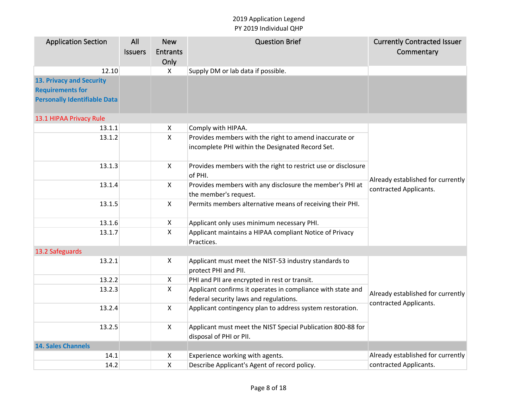| <b>Application Section</b>          | All            | <b>New</b>                | <b>Question Brief</b>                                                             | <b>Currently Contracted Issuer</b> |
|-------------------------------------|----------------|---------------------------|-----------------------------------------------------------------------------------|------------------------------------|
|                                     | <b>Issuers</b> | <b>Entrants</b>           |                                                                                   | Commentary                         |
|                                     |                | Only                      |                                                                                   |                                    |
| 12.10                               |                | $\mathsf{X}$              | Supply DM or lab data if possible.                                                |                                    |
| 13. Privacy and Security            |                |                           |                                                                                   |                                    |
| <b>Requirements for</b>             |                |                           |                                                                                   |                                    |
| <b>Personally Identifiable Data</b> |                |                           |                                                                                   |                                    |
| 13.1 HIPAA Privacy Rule             |                |                           |                                                                                   |                                    |
| 13.1.1                              |                | X                         | Comply with HIPAA.                                                                |                                    |
| 13.1.2                              |                | $\mathsf{X}$              | Provides members with the right to amend inaccurate or                            |                                    |
|                                     |                |                           | incomplete PHI within the Designated Record Set.                                  |                                    |
| 13.1.3                              |                | $\mathsf{X}$              | Provides members with the right to restrict use or disclosure<br>of PHI.          | Already established for currently  |
| 13.1.4                              |                | $\mathsf{X}$              | Provides members with any disclosure the member's PHI at<br>the member's request. | contracted Applicants.             |
| 13.1.5                              |                | $\mathsf{X}$              | Permits members alternative means of receiving their PHI.                         |                                    |
| 13.1.6                              |                | $\mathsf{X}$              | Applicant only uses minimum necessary PHI.                                        |                                    |
| 13.1.7                              |                | $\boldsymbol{\mathsf{X}}$ | Applicant maintains a HIPAA compliant Notice of Privacy<br>Practices.             |                                    |
| 13.2 Safeguards                     |                |                           |                                                                                   |                                    |
| 13.2.1                              |                | X                         | Applicant must meet the NIST-53 industry standards to<br>protect PHI and PII.     |                                    |
| 13.2.2                              |                | X                         | PHI and PII are encrypted in rest or transit.                                     |                                    |
| 13.2.3                              |                | $\mathsf{X}$              | Applicant confirms it operates in compliance with state and                       | Already established for currently  |
|                                     |                |                           | federal security laws and regulations.                                            |                                    |
| 13.2.4                              |                | $\mathsf{X}$              | Applicant contingency plan to address system restoration.                         | contracted Applicants.             |
| 13.2.5                              |                | $\mathsf{X}$              | Applicant must meet the NIST Special Publication 800-88 for                       |                                    |
|                                     |                |                           | disposal of PHI or PII.                                                           |                                    |
| <b>14. Sales Channels</b>           |                |                           |                                                                                   |                                    |
| 14.1                                |                | X                         | Experience working with agents.                                                   | Already established for currently  |
| 14.2                                |                | $\pmb{\mathsf{X}}$        | Describe Applicant's Agent of record policy.                                      | contracted Applicants.             |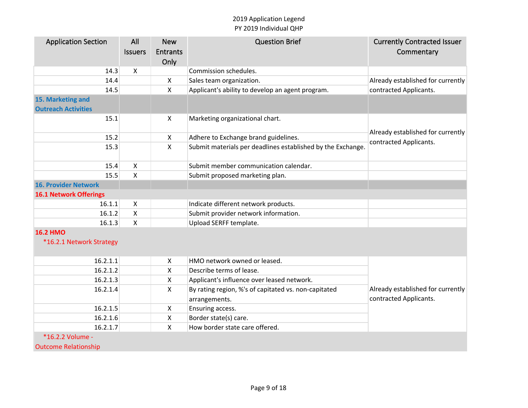| <b>Application Section</b>    | All                       | <b>New</b>                | <b>Question Brief</b>                                       | <b>Currently Contracted Issuer</b> |
|-------------------------------|---------------------------|---------------------------|-------------------------------------------------------------|------------------------------------|
|                               | <b>Issuers</b>            | <b>Entrants</b>           |                                                             | Commentary                         |
|                               |                           | Only                      |                                                             |                                    |
| 14.3                          | $\boldsymbol{\mathsf{X}}$ |                           | Commission schedules.                                       |                                    |
| 14.4                          |                           | X                         | Sales team organization.                                    | Already established for currently  |
| 14.5                          |                           | $\mathsf{X}$              | Applicant's ability to develop an agent program.            | contracted Applicants.             |
| 15. Marketing and             |                           |                           |                                                             |                                    |
| <b>Outreach Activities</b>    |                           |                           |                                                             |                                    |
| 15.1                          |                           | X                         | Marketing organizational chart.                             |                                    |
|                               |                           |                           |                                                             | Already established for currently  |
| 15.2                          |                           | $\mathsf{X}$              | Adhere to Exchange brand guidelines.                        | contracted Applicants.             |
| 15.3                          |                           | $\mathsf{X}$              | Submit materials per deadlines established by the Exchange. |                                    |
|                               |                           |                           |                                                             |                                    |
| 15.4                          | $\pmb{\times}$            |                           | Submit member communication calendar.                       |                                    |
| 15.5                          | X                         |                           | Submit proposed marketing plan.                             |                                    |
| <b>16. Provider Network</b>   |                           |                           |                                                             |                                    |
| <b>16.1 Network Offerings</b> |                           |                           |                                                             |                                    |
| 16.1.1                        | $\mathsf{X}$              |                           | Indicate different network products.                        |                                    |
| 16.1.2                        | $\boldsymbol{\mathsf{X}}$ |                           | Submit provider network information.                        |                                    |
| 16.1.3                        | $\boldsymbol{\mathsf{X}}$ |                           | Upload SERFF template.                                      |                                    |
| <b>16.2 HMO</b>               |                           |                           |                                                             |                                    |
| *16.2.1 Network Strategy      |                           |                           |                                                             |                                    |
|                               |                           |                           |                                                             |                                    |
| 16.2.1.1                      |                           | X                         | HMO network owned or leased.                                |                                    |
| 16.2.1.2                      |                           | $\mathsf{X}$              | Describe terms of lease.                                    |                                    |
| 16.2.1.3                      |                           | X                         | Applicant's influence over leased network.                  |                                    |
| 16.2.1.4                      |                           | $\mathsf{X}$              | By rating region, %'s of capitated vs. non-capitated        | Already established for currently  |
|                               |                           |                           | arrangements.                                               | contracted Applicants.             |
| 16.2.1.5                      |                           | $\mathsf{X}$              | Ensuring access.                                            |                                    |
| 16.2.1.6                      |                           | $\boldsymbol{\mathsf{X}}$ | Border state(s) care.                                       |                                    |
| 16.2.1.7                      |                           | $\mathsf{X}$              | How border state care offered.                              |                                    |
| *16.2.2 Volume -              |                           |                           |                                                             |                                    |
| <b>Outcome Relationship</b>   |                           |                           |                                                             |                                    |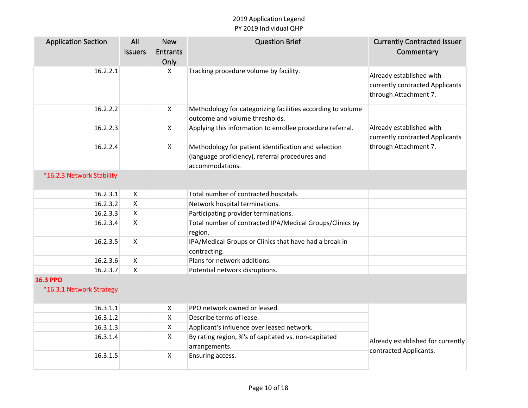| <b>Application Section</b>                  | All<br><b>Issuers</b> | <b>New</b><br><b>Entrants</b> | <b>Question Brief</b>                                                                                                      | <b>Currently Contracted Issuer</b><br>Commentary                                     |
|---------------------------------------------|-----------------------|-------------------------------|----------------------------------------------------------------------------------------------------------------------------|--------------------------------------------------------------------------------------|
|                                             |                       | Only                          |                                                                                                                            |                                                                                      |
| 16.2.2.1                                    |                       | X                             | Tracking procedure volume by facility.                                                                                     | Already established with<br>currently contracted Applicants<br>through Attachment 7. |
| 16.2.2.2                                    |                       | $\mathsf{X}$                  | Methodology for categorizing facilities according to volume<br>outcome and volume thresholds.                              |                                                                                      |
| 16.2.2.3                                    |                       | $\boldsymbol{\mathsf{X}}$     | Applying this information to enrollee procedure referral.                                                                  | Already established with<br>currently contracted Applicants                          |
| 16.2.2.4                                    |                       | $\mathsf{X}$                  | Methodology for patient identification and selection<br>(language proficiency), referral procedures and<br>accommodations. | through Attachment 7.                                                                |
| *16.2.3 Network Stability                   |                       |                               |                                                                                                                            |                                                                                      |
| 16.2.3.1                                    | X                     |                               | Total number of contracted hospitals.                                                                                      |                                                                                      |
| 16.2.3.2                                    | X                     |                               | Network hospital terminations.                                                                                             |                                                                                      |
| 16.2.3.3                                    | X                     |                               | Participating provider terminations.                                                                                       |                                                                                      |
| 16.2.3.4                                    | X                     |                               | Total number of contracted IPA/Medical Groups/Clinics by<br>region.                                                        |                                                                                      |
| 16.2.3.5                                    | $\pmb{\times}$        |                               | IPA/Medical Groups or Clinics that have had a break in<br>contracting.                                                     |                                                                                      |
| 16.2.3.6                                    | X                     |                               | Plans for network additions.                                                                                               |                                                                                      |
| 16.2.3.7                                    | $\pmb{\times}$        |                               | Potential network disruptions.                                                                                             |                                                                                      |
| <b>16.3 PPO</b><br>*16.3.1 Network Strategy |                       |                               |                                                                                                                            |                                                                                      |
| 16.3.1.1                                    |                       | $\boldsymbol{\mathsf{X}}$     | PPO network owned or leased.                                                                                               |                                                                                      |
| 16.3.1.2                                    |                       | $\pmb{\times}$                | Describe terms of lease.                                                                                                   |                                                                                      |
| 16.3.1.3                                    |                       | $\boldsymbol{\mathsf{X}}$     | Applicant's influence over leased network.                                                                                 |                                                                                      |
| 16.3.1.4                                    |                       | $\boldsymbol{\mathsf{X}}$     | By rating region, %'s of capitated vs. non-capitated<br>arrangements.                                                      | Already established for currently<br>contracted Applicants.                          |
| 16.3.1.5                                    |                       | $\boldsymbol{\mathsf{X}}$     | Ensuring access.                                                                                                           |                                                                                      |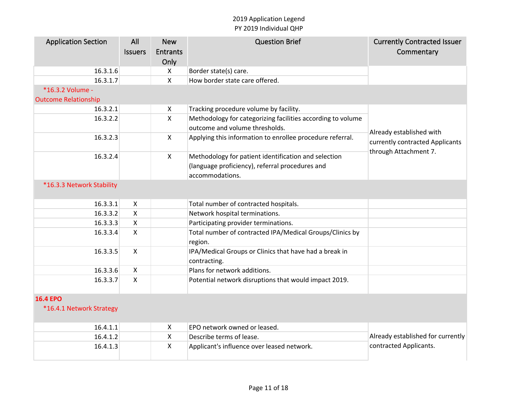| <b>Application Section</b>  | All<br><b>Issuers</b> | <b>New</b><br>Entrants<br>Only | <b>Question Brief</b>                                                  | <b>Currently Contracted Issuer</b><br>Commentary |
|-----------------------------|-----------------------|--------------------------------|------------------------------------------------------------------------|--------------------------------------------------|
| 16.3.1.6                    |                       | X                              | Border state(s) care.                                                  |                                                  |
| 16.3.1.7                    |                       | X                              | How border state care offered.                                         |                                                  |
| *16.3.2 Volume -            |                       |                                |                                                                        |                                                  |
| <b>Outcome Relationship</b> |                       |                                |                                                                        |                                                  |
| 16.3.2.1                    |                       | X                              | Tracking procedure volume by facility.                                 |                                                  |
| 16.3.2.2                    |                       | $\pmb{\times}$                 | Methodology for categorizing facilities according to volume            |                                                  |
|                             |                       |                                | outcome and volume thresholds.                                         | Already established with                         |
| 16.3.2.3                    |                       | $\pmb{\times}$                 | Applying this information to enrollee procedure referral.              | currently contracted Applicants                  |
| 16.3.2.4                    |                       | $\mathsf{X}$                   | Methodology for patient identification and selection                   | through Attachment 7.                            |
|                             |                       |                                | (language proficiency), referral procedures and                        |                                                  |
|                             |                       |                                | accommodations.                                                        |                                                  |
| *16.3.3 Network Stability   |                       |                                |                                                                        |                                                  |
| 16.3.3.1                    | $\mathsf{X}$          |                                | Total number of contracted hospitals.                                  |                                                  |
| 16.3.3.2                    | $\mathsf{X}$          |                                | Network hospital terminations.                                         |                                                  |
| 16.3.3.3                    | X                     |                                | Participating provider terminations.                                   |                                                  |
| 16.3.3.4                    | $\mathsf{X}$          |                                | Total number of contracted IPA/Medical Groups/Clinics by<br>region.    |                                                  |
| 16.3.3.5                    | $\mathsf{X}$          |                                | IPA/Medical Groups or Clinics that have had a break in<br>contracting. |                                                  |
| 16.3.3.6                    | $\mathsf{X}$          |                                | Plans for network additions.                                           |                                                  |
| 16.3.3.7                    | $\mathsf{X}$          |                                | Potential network disruptions that would impact 2019.                  |                                                  |
| <b>16.4 EPO</b>             |                       |                                |                                                                        |                                                  |
| *16.4.1 Network Strategy    |                       |                                |                                                                        |                                                  |
| 16.4.1.1                    |                       | X                              | EPO network owned or leased.                                           |                                                  |
| 16.4.1.2                    |                       | X                              | Describe terms of lease.                                               | Already established for currently                |
| 16.4.1.3                    |                       | X                              | Applicant's influence over leased network.                             | contracted Applicants.                           |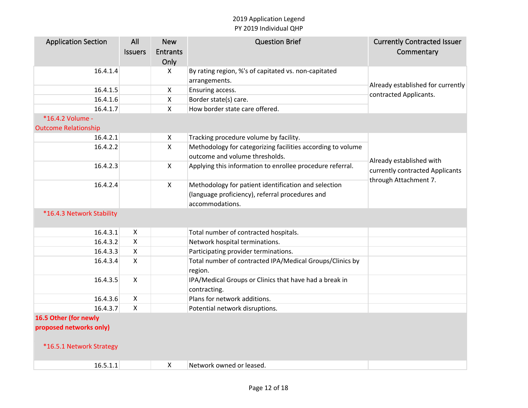| <b>Application Section</b>  | All                | <b>New</b>                | <b>Question Brief</b>                                                  | <b>Currently Contracted Issuer</b> |
|-----------------------------|--------------------|---------------------------|------------------------------------------------------------------------|------------------------------------|
|                             | <b>Issuers</b>     | Entrants                  |                                                                        | Commentary                         |
|                             |                    | Only                      |                                                                        |                                    |
| 16.4.1.4                    |                    | X                         | By rating region, %'s of capitated vs. non-capitated                   |                                    |
|                             |                    |                           | arrangements.                                                          | Already established for currently  |
| 16.4.1.5                    |                    | $\boldsymbol{\mathsf{X}}$ | Ensuring access.                                                       |                                    |
| 16.4.1.6                    |                    | $\pmb{\times}$            | Border state(s) care.                                                  | contracted Applicants.             |
| 16.4.1.7                    |                    | $\mathsf{X}$              | How border state care offered.                                         |                                    |
| *16.4.2 Volume -            |                    |                           |                                                                        |                                    |
| <b>Outcome Relationship</b> |                    |                           |                                                                        |                                    |
| 16.4.2.1                    |                    | $\mathsf{X}$              | Tracking procedure volume by facility.                                 |                                    |
| 16.4.2.2                    |                    | $\mathsf{X}$              | Methodology for categorizing facilities according to volume            |                                    |
|                             |                    |                           | outcome and volume thresholds.                                         | Already established with           |
| 16.4.2.3                    |                    | $\mathsf{X}$              | Applying this information to enrollee procedure referral.              | currently contracted Applicants    |
| 16.4.2.4                    |                    | $\mathsf{X}$              | Methodology for patient identification and selection                   | through Attachment 7.              |
|                             |                    |                           | (language proficiency), referral procedures and                        |                                    |
|                             |                    |                           | accommodations.                                                        |                                    |
| *16.4.3 Network Stability   |                    |                           |                                                                        |                                    |
|                             |                    |                           |                                                                        |                                    |
| 16.4.3.1                    | $\pmb{\times}$     |                           | Total number of contracted hospitals.                                  |                                    |
| 16.4.3.2                    | $\pmb{\mathsf{X}}$ |                           | Network hospital terminations.                                         |                                    |
| 16.4.3.3                    | $\mathsf{X}$       |                           | Participating provider terminations.                                   |                                    |
| 16.4.3.4                    | $\mathsf{X}$       |                           | Total number of contracted IPA/Medical Groups/Clinics by<br>region.    |                                    |
| 16.4.3.5                    | $\mathsf{X}$       |                           | IPA/Medical Groups or Clinics that have had a break in<br>contracting. |                                    |
| 16.4.3.6                    | $\boldsymbol{X}$   |                           | Plans for network additions.                                           |                                    |
| 16.4.3.7                    | $\mathsf{x}$       |                           | Potential network disruptions.                                         |                                    |
| 16.5 Other (for newly       |                    |                           |                                                                        |                                    |
| proposed networks only)     |                    |                           |                                                                        |                                    |
|                             |                    |                           |                                                                        |                                    |
| *16.5.1 Network Strategy    |                    |                           |                                                                        |                                    |
| 16.5.1.1                    |                    | X                         | Network owned or leased.                                               |                                    |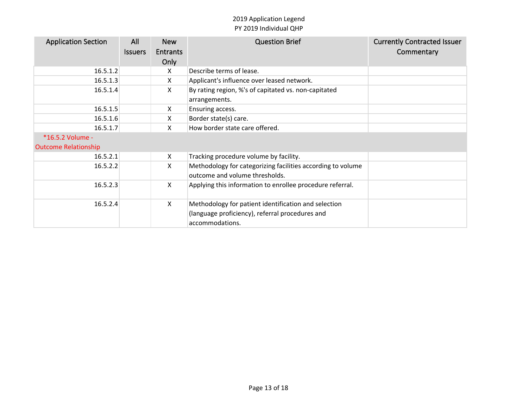| <b>Application Section</b>  | All<br><b>Issuers</b> | <b>New</b><br><b>Entrants</b><br>Only | <b>Question Brief</b>                                                                                                      | <b>Currently Contracted Issuer</b><br>Commentary |
|-----------------------------|-----------------------|---------------------------------------|----------------------------------------------------------------------------------------------------------------------------|--------------------------------------------------|
| 16.5.1.2                    |                       | X                                     | Describe terms of lease.                                                                                                   |                                                  |
| 16.5.1.3                    |                       | X                                     | Applicant's influence over leased network.                                                                                 |                                                  |
| 16.5.1.4                    |                       | X                                     | By rating region, %'s of capitated vs. non-capitated<br>arrangements.                                                      |                                                  |
| 16.5.1.5                    |                       | X                                     | Ensuring access.                                                                                                           |                                                  |
| 16.5.1.6                    |                       | X                                     | Border state(s) care.                                                                                                      |                                                  |
| 16.5.1.7                    |                       | X                                     | How border state care offered.                                                                                             |                                                  |
| *16.5.2 Volume -            |                       |                                       |                                                                                                                            |                                                  |
| <b>Outcome Relationship</b> |                       |                                       |                                                                                                                            |                                                  |
| 16.5.2.1                    |                       | $\mathsf{X}$                          | Tracking procedure volume by facility.                                                                                     |                                                  |
| 16.5.2.2                    |                       | X                                     | Methodology for categorizing facilities according to volume<br>outcome and volume thresholds.                              |                                                  |
| 16.5.2.3                    |                       | $\mathsf{X}$                          | Applying this information to enrollee procedure referral.                                                                  |                                                  |
| 16.5.2.4                    |                       | $\mathsf{X}$                          | Methodology for patient identification and selection<br>(language proficiency), referral procedures and<br>accommodations. |                                                  |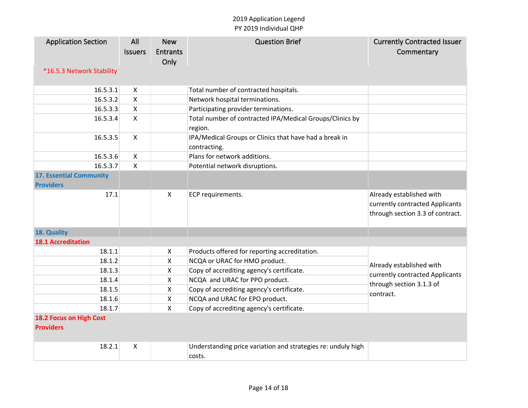| <b>Application Section</b>     | All                       | <b>New</b>      | <b>Question Brief</b>                                               | <b>Currently Contracted Issuer</b>                                       |
|--------------------------------|---------------------------|-----------------|---------------------------------------------------------------------|--------------------------------------------------------------------------|
|                                | <b>Issuers</b>            | <b>Entrants</b> |                                                                     | Commentary                                                               |
|                                |                           | Only            |                                                                     |                                                                          |
| *16.5.3 Network Stability      |                           |                 |                                                                     |                                                                          |
|                                |                           |                 |                                                                     |                                                                          |
| 16.5.3.1                       | X                         |                 | Total number of contracted hospitals.                               |                                                                          |
| 16.5.3.2                       | $\boldsymbol{\mathsf{X}}$ |                 | Network hospital terminations.                                      |                                                                          |
| 16.5.3.3                       | $\mathsf{X}$              |                 | Participating provider terminations.                                |                                                                          |
| 16.5.3.4                       | $\mathsf{X}$              |                 | Total number of contracted IPA/Medical Groups/Clinics by<br>region. |                                                                          |
| 16.5.3.5                       | $\mathsf{X}$              |                 | IPA/Medical Groups or Clinics that have had a break in              |                                                                          |
|                                |                           |                 | contracting.                                                        |                                                                          |
| 16.5.3.6                       | $\boldsymbol{\mathsf{X}}$ |                 | Plans for network additions.                                        |                                                                          |
| 16.5.3.7                       | $\boldsymbol{\mathsf{X}}$ |                 | Potential network disruptions.                                      |                                                                          |
| <b>17. Essential Community</b> |                           |                 |                                                                     |                                                                          |
| <b>Providers</b>               |                           |                 |                                                                     |                                                                          |
| 17.1                           |                           | X               | ECP requirements.                                                   | Already established with                                                 |
|                                |                           |                 |                                                                     | currently contracted Applicants                                          |
|                                |                           |                 |                                                                     | through section 3.3 of contract.                                         |
|                                |                           |                 |                                                                     |                                                                          |
| 18. Quality                    |                           |                 |                                                                     |                                                                          |
| <b>18.1 Accreditation</b>      |                           |                 |                                                                     |                                                                          |
| 18.1.1                         |                           | X               | Products offered for reporting accreditation.                       |                                                                          |
| 18.1.2                         |                           | $\mathsf{X}$    | NCQA or URAC for HMO product.                                       | Already established with                                                 |
| 18.1.3                         |                           | X               | Copy of accrediting agency's certificate.                           | currently contracted Applicants<br>through section 3.1.3 of<br>contract. |
| 18.1.4                         |                           | X               | NCQA and URAC for PPO product.                                      |                                                                          |
| 18.1.5                         |                           | X               | Copy of accrediting agency's certificate.                           |                                                                          |
| 18.1.6                         |                           | X               | NCQA and URAC for EPO product.                                      |                                                                          |
| 18.1.7                         |                           | $\mathsf{X}$    | Copy of accrediting agency's certificate.                           |                                                                          |
| 18.2 Focus on High Cost        |                           |                 |                                                                     |                                                                          |
| <b>Providers</b>               |                           |                 |                                                                     |                                                                          |
|                                |                           |                 |                                                                     |                                                                          |
| 18.2.1                         | $\mathsf{X}$              |                 | Understanding price variation and strategies re: unduly high        |                                                                          |
|                                |                           |                 | costs.                                                              |                                                                          |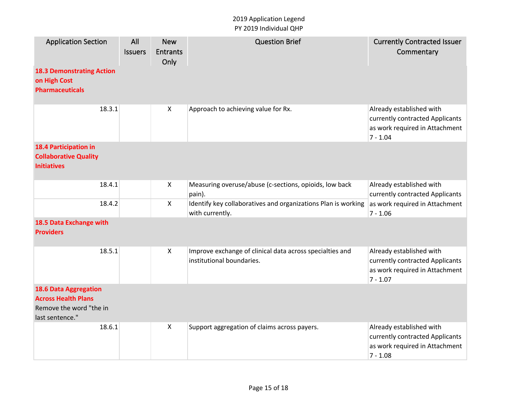| <b>Application Section</b>                                                                               | All<br><b>Issuers</b> | <b>New</b><br><b>Entrants</b><br>Only | <b>Question Brief</b>                                                                 | <b>Currently Contracted Issuer</b><br>Commentary                                                            |
|----------------------------------------------------------------------------------------------------------|-----------------------|---------------------------------------|---------------------------------------------------------------------------------------|-------------------------------------------------------------------------------------------------------------|
| <b>18.3 Demonstrating Action</b><br>on High Cost<br><b>Pharmaceuticals</b>                               |                       |                                       |                                                                                       |                                                                                                             |
| 18.3.1                                                                                                   |                       | X                                     | Approach to achieving value for Rx.                                                   | Already established with<br>currently contracted Applicants<br>as work required in Attachment<br>$7 - 1.04$ |
| <b>18.4 Participation in</b><br><b>Collaborative Quality</b><br><b>Initiatives</b>                       |                       |                                       |                                                                                       |                                                                                                             |
| 18.4.1                                                                                                   |                       | $\mathsf{X}$                          | Measuring overuse/abuse (c-sections, opioids, low back<br>pain).                      | Already established with<br>currently contracted Applicants                                                 |
| 18.4.2                                                                                                   |                       | $\pmb{\times}$                        | Identify key collaboratives and organizations Plan is working<br>with currently.      | as work required in Attachment<br>$7 - 1.06$                                                                |
| 18.5 Data Exchange with<br><b>Providers</b>                                                              |                       |                                       |                                                                                       |                                                                                                             |
| 18.5.1                                                                                                   |                       | $\pmb{\times}$                        | Improve exchange of clinical data across specialties and<br>institutional boundaries. | Already established with<br>currently contracted Applicants<br>as work required in Attachment<br>$7 - 1.07$ |
| <b>18.6 Data Aggregation</b><br><b>Across Health Plans</b><br>Remove the word "the in<br>last sentence." |                       |                                       |                                                                                       |                                                                                                             |
| 18.6.1                                                                                                   |                       | X                                     | Support aggregation of claims across payers.                                          | Already established with<br>currently contracted Applicants<br>as work required in Attachment<br>$7 - 1.08$ |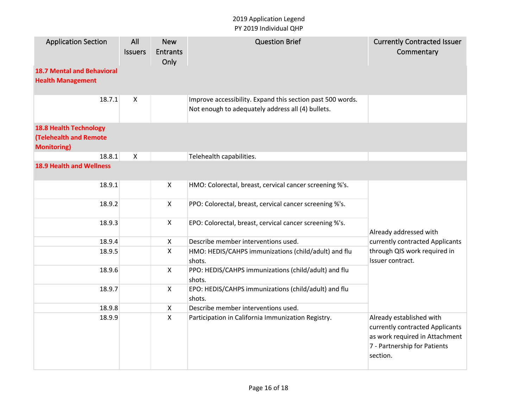| <b>Application Section</b>                                                           | All<br><b>Issuers</b> | <b>New</b><br><b>Entrants</b><br>Only | <b>Question Brief</b>                                                                                           | <b>Currently Contracted Issuer</b><br>Commentary                                                                                          |
|--------------------------------------------------------------------------------------|-----------------------|---------------------------------------|-----------------------------------------------------------------------------------------------------------------|-------------------------------------------------------------------------------------------------------------------------------------------|
| <b>18.7 Mental and Behavioral</b><br><b>Health Management</b>                        |                       |                                       |                                                                                                                 |                                                                                                                                           |
| 18.7.1                                                                               | X                     |                                       | Improve accessibility. Expand this section past 500 words.<br>Not enough to adequately address all (4) bullets. |                                                                                                                                           |
| <b>18.8 Health Technology</b><br><b>(Telehealth and Remote</b><br><b>Monitoring)</b> |                       |                                       |                                                                                                                 |                                                                                                                                           |
| 18.8.1                                                                               | $\mathsf{x}$          |                                       | Telehealth capabilities.                                                                                        |                                                                                                                                           |
| <b>18.9 Health and Wellness</b>                                                      |                       |                                       |                                                                                                                 |                                                                                                                                           |
| 18.9.1                                                                               |                       | $\mathsf{X}$                          | HMO: Colorectal, breast, cervical cancer screening %'s.                                                         |                                                                                                                                           |
| 18.9.2                                                                               |                       | $\mathsf{X}$                          | PPO: Colorectal, breast, cervical cancer screening %'s.                                                         |                                                                                                                                           |
| 18.9.3                                                                               |                       | $\mathsf{X}$                          | EPO: Colorectal, breast, cervical cancer screening %'s.                                                         | Already addressed with                                                                                                                    |
| 18.9.4                                                                               |                       | X                                     | Describe member interventions used.                                                                             | currently contracted Applicants                                                                                                           |
| 18.9.5                                                                               |                       | $\mathsf{X}$                          | HMO: HEDIS/CAHPS immunizations (child/adult) and flu<br>shots.                                                  | through QIS work required in<br>Issuer contract.                                                                                          |
| 18.9.6                                                                               |                       | $\mathsf{X}$                          | PPO: HEDIS/CAHPS immunizations (child/adult) and flu<br>shots.                                                  |                                                                                                                                           |
| 18.9.7                                                                               |                       | $\mathsf{X}$                          | EPO: HEDIS/CAHPS immunizations (child/adult) and flu<br>shots.                                                  |                                                                                                                                           |
| 18.9.8                                                                               |                       | X                                     | Describe member interventions used.                                                                             |                                                                                                                                           |
| 18.9.9                                                                               |                       | X                                     | Participation in California Immunization Registry.                                                              | Already established with<br>currently contracted Applicants<br>as work required in Attachment<br>7 - Partnership for Patients<br>section. |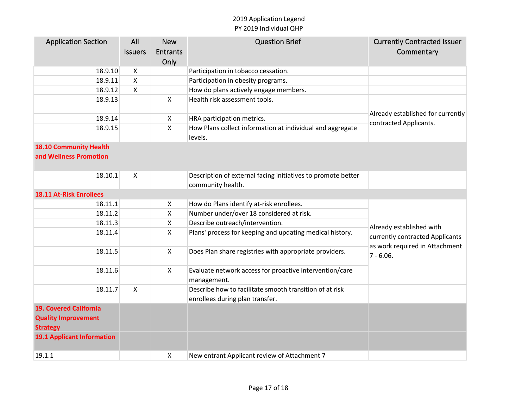| <b>Application Section</b>        | All                | <b>New</b>         | <b>Question Brief</b>                                        | <b>Currently Contracted Issuer</b> |
|-----------------------------------|--------------------|--------------------|--------------------------------------------------------------|------------------------------------|
|                                   | <b>Issuers</b>     | <b>Entrants</b>    |                                                              | Commentary                         |
|                                   |                    | Only               |                                                              |                                    |
| 18.9.10                           | X                  |                    | Participation in tobacco cessation.                          |                                    |
| 18.9.11                           | $\pmb{\mathsf{X}}$ |                    | Participation in obesity programs.                           |                                    |
| 18.9.12                           | $\pmb{\times}$     |                    | How do plans actively engage members.                        |                                    |
| 18.9.13                           |                    | $\mathsf{X}$       | Health risk assessment tools.                                |                                    |
|                                   |                    |                    |                                                              |                                    |
| 18.9.14                           |                    | $\mathsf{X}$       | HRA participation metrics.                                   | Already established for currently  |
| 18.9.15                           |                    | $\pmb{\mathsf{X}}$ | How Plans collect information at individual and aggregate    | contracted Applicants.             |
|                                   |                    |                    | levels.                                                      |                                    |
| <b>18.10 Community Health</b>     |                    |                    |                                                              |                                    |
| and Wellness Promotion            |                    |                    |                                                              |                                    |
|                                   |                    |                    |                                                              |                                    |
| 18.10.1                           | $\mathsf{x}$       |                    | Description of external facing initiatives to promote better |                                    |
|                                   |                    |                    | community health.                                            |                                    |
| <b>18.11 At-Risk Enrollees</b>    |                    |                    |                                                              |                                    |
| 18.11.1                           |                    | X                  | How do Plans identify at-risk enrollees.                     |                                    |
| 18.11.2                           |                    | $\mathsf{x}$       | Number under/over 18 considered at risk.                     |                                    |
| 18.11.3                           |                    | X                  | Describe outreach/intervention.                              | Already established with           |
| 18.11.4                           |                    | $\mathsf{X}$       | Plans' process for keeping and updating medical history.     | currently contracted Applicants    |
|                                   |                    |                    |                                                              | as work required in Attachment     |
| 18.11.5                           |                    | $\mathsf{X}$       | Does Plan share registries with appropriate providers.       | $7 - 6.06$ .                       |
|                                   |                    |                    |                                                              |                                    |
| 18.11.6                           |                    | $\pmb{\mathsf{X}}$ | Evaluate network access for proactive intervention/care      |                                    |
|                                   |                    |                    | management.                                                  |                                    |
| 18.11.7                           | X                  |                    | Describe how to facilitate smooth transition of at risk      |                                    |
|                                   |                    |                    | enrollees during plan transfer.                              |                                    |
| <b>19. Covered California</b>     |                    |                    |                                                              |                                    |
| <b>Quality Improvement</b>        |                    |                    |                                                              |                                    |
| <b>Strategy</b>                   |                    |                    |                                                              |                                    |
| <b>19.1 Applicant Information</b> |                    |                    |                                                              |                                    |
|                                   |                    |                    |                                                              |                                    |
| 19.1.1                            |                    | X                  | New entrant Applicant review of Attachment 7                 |                                    |